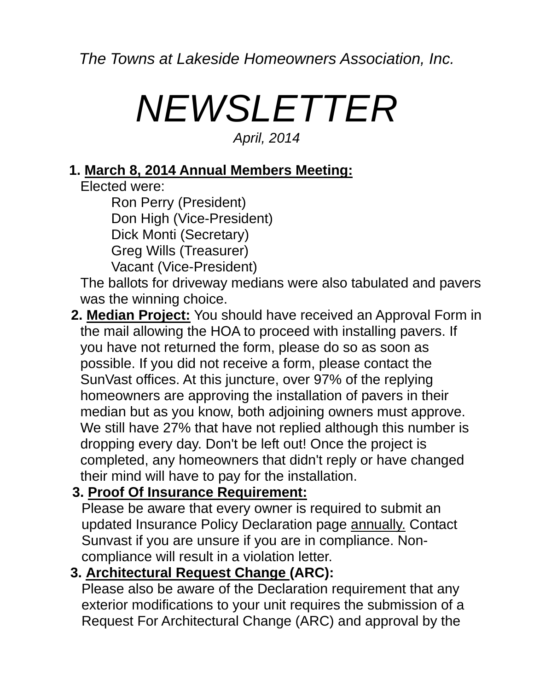*The Towns at Lakeside Homeowners Association, Inc.* 

# *NEWSLETTER April, 2014*

#### **1. March 8, 2014 Annual Members Meeting:**

Elected were:

 Ron Perry (President) Don High (Vice-President) Dick Monti (Secretary) Greg Wills (Treasurer) Vacant (Vice-President)

 The ballots for driveway medians were also tabulated and pavers was the winning choice.

**2. Median Project:** You should have received an Approval Form in the mail allowing the HOA to proceed with installing pavers. If you have not returned the form, please do so as soon as possible. If you did not receive a form, please contact the SunVast offices. At this juncture, over 97% of the replying homeowners are approving the installation of pavers in their median but as you know, both adjoining owners must approve. We still have 27% that have not replied although this number is dropping every day. Don't be left out! Once the project is completed, any homeowners that didn't reply or have changed their mind will have to pay for the installation.

## **3. Proof Of Insurance Requirement:**

Please be aware that every owner is required to submit an updated Insurance Policy Declaration page annually. Contact Sunvast if you are unsure if you are in compliance. Noncompliance will result in a violation letter.

## **3. Architectural Request Change (ARC):**

Please also be aware of the Declaration requirement that any exterior modifications to your unit requires the submission of a Request For Architectural Change (ARC) and approval by the